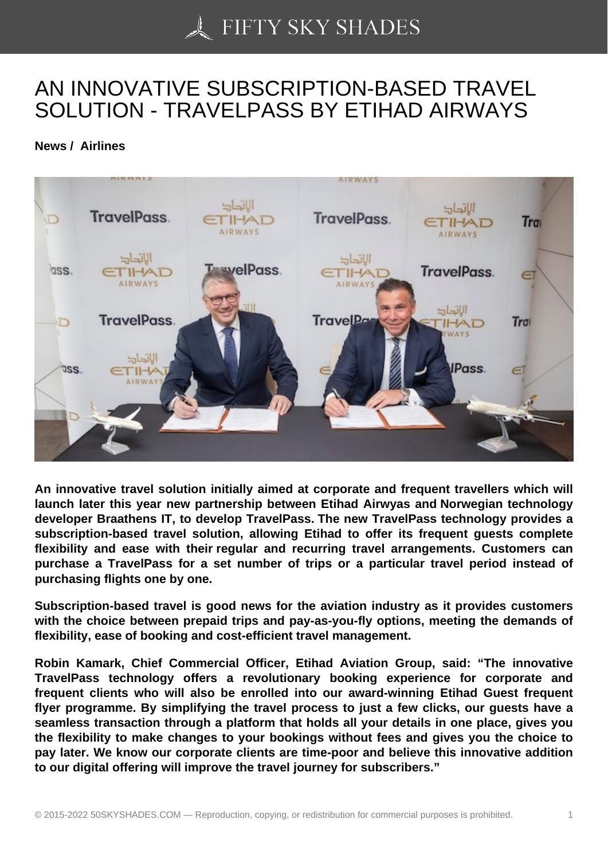## [AN INNOVATIVE SUB](https://50skyshades.com)SCRIPTION-BASED TRAVEL SOLUTION - TRAVELPASS BY ETIHAD AIRWAYS

News / Airlines

An innovative travel solution initially aimed at corporate and frequent travellers which will launch later this year new partnership between Etihad Airwyas and Norwegian technology developer Braathens IT, to develop TravelPass. The new TravelPass technology provides a subscription-based travel solution, allowing Etihad to offer its frequent guests complete flexibility and ease with their regular and recurring travel arrangements. Customers can purchase a TravelPass for a set number of trips or a particular travel period instead of purchasing flights one by one.

Subscription-based travel is good news for the aviation industry as it provides customers with the choice between prepaid trips and pay-as-you-fly options, meeting the demands of flexibility, ease of booking and cost-efficient travel management.

Robin Kamark, Chief Commercial Officer, Etihad Aviation Group, said: "The innovative TravelPass technology offers a revolutionary booking experience for corporate and frequent clients who will also be enrolled into our award-winning Etihad Guest frequent flyer programme. By simplifying the travel process to just a few clicks, our guests have a seamless transaction through a platform that holds all your details in one place, gives you the flexibility to make changes to your bookings without fees and gives you the choice to pay later. We know our corporate clients are time-poor and believe this innovative addition to our digital offering will improve the travel journey for subscribers."